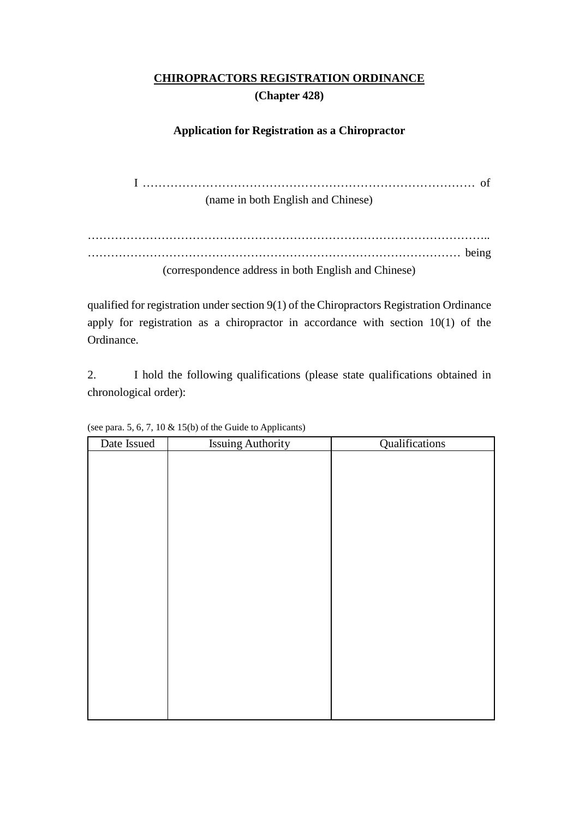# **CHIROPRACTORS REGISTRATION ORDINANCE (Chapter 428)**

# **Application for Registration as a Chiropractor**

I ………………………………………………………………………… of

(name in both English and Chinese)

………………………………………………………………………………………….. …………………………………………………………………………………… being (correspondence address in both English and Chinese)

qualified for registration under section 9(1) of the Chiropractors Registration Ordinance apply for registration as a chiropractor in accordance with section 10(1) of the Ordinance.

2. I hold the following qualifications (please state qualifications obtained in chronological order):

| Date Issued | <b>Issuing Authority</b> | Qualifications |
|-------------|--------------------------|----------------|
|             |                          |                |
|             |                          |                |
|             |                          |                |
|             |                          |                |
|             |                          |                |
|             |                          |                |
|             |                          |                |
|             |                          |                |
|             |                          |                |
|             |                          |                |
|             |                          |                |
|             |                          |                |
|             |                          |                |
|             |                          |                |
|             |                          |                |
|             |                          |                |
|             |                          |                |
|             |                          |                |
|             |                          |                |
|             |                          |                |

(see para. 5, 6, 7, 10 & 15(b) of the Guide to Applicants)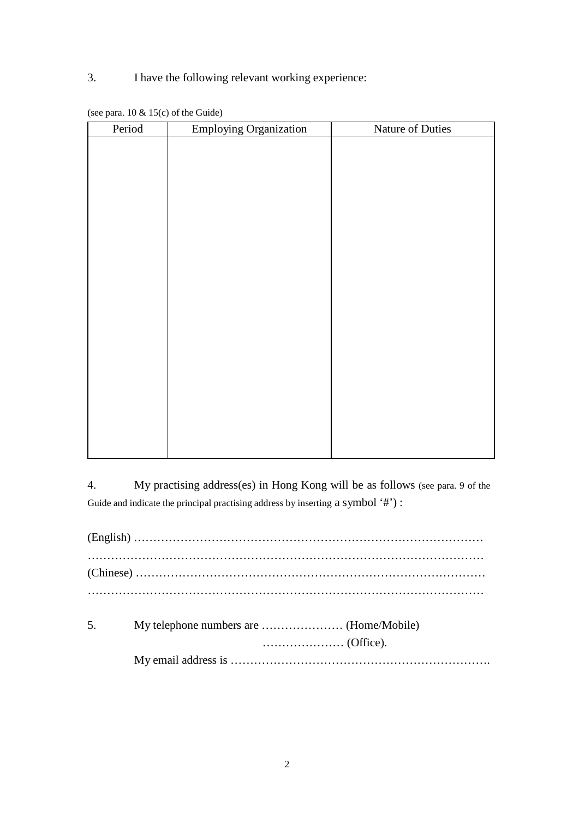# 3. I have the following relevant working experience:

| Period | <b>Employing Organization</b> | Nature of Duties |
|--------|-------------------------------|------------------|
|        |                               |                  |
|        |                               |                  |
|        |                               |                  |
|        |                               |                  |
|        |                               |                  |
|        |                               |                  |
|        |                               |                  |
|        |                               |                  |
|        |                               |                  |
|        |                               |                  |
|        |                               |                  |
|        |                               |                  |
|        |                               |                  |
|        |                               |                  |
|        |                               |                  |
|        |                               |                  |
|        |                               |                  |
|        |                               |                  |
|        |                               |                  |
|        |                               |                  |
|        |                               |                  |

| (see para. $10 \& 15(c)$ of the Guide) |
|----------------------------------------|
|----------------------------------------|

4. My practising address(es) in Hong Kong will be as follows (see para. 9 of the Guide and indicate the principal practising address by inserting a symbol '#'):

| 5 <sub>1</sub> |  |
|----------------|--|
|                |  |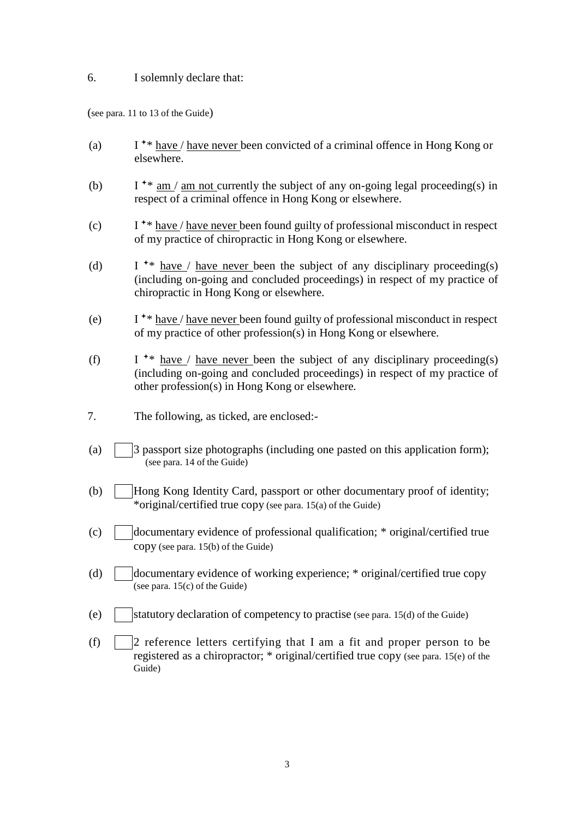#### 6. I solemnly declare that:

(see para. 11 to 13 of the Guide)

- (a) I \*\* have / have never been convicted of a criminal offence in Hong Kong or elsewhere.
- (b) I <sup>+\*</sup> am / am not currently the subject of any on-going legal proceeding(s) in respect of a criminal offence in Hong Kong or elsewhere.
- (c)  $I^*$  have / have never been found guilty of professional misconduct in respect of my practice of chiropractic in Hong Kong or elsewhere.
- (d) I <sup>\*\*</sup> have / have never been the subject of any disciplinary proceeding(s) (including on-going and concluded proceedings) in respect of my practice of chiropractic in Hong Kong or elsewhere.
- (e) I \*\* have / have never been found guilty of professional misconduct in respect of my practice of other profession(s) in Hong Kong or elsewhere.
- (f) I <sup>\*\*</sup> have / have never been the subject of any disciplinary proceeding(s) (including on-going and concluded proceedings) in respect of my practice of other profession(s) in Hong Kong or elsewhere.
- 7. The following, as ticked, are enclosed:-
- (a)  $\vert$  3 passport size photographs (including one pasted on this application form); (see para. 14 of the Guide)
- (b) Hong Kong Identity Card, passport or other documentary proof of identity; \*original/certified true copy (see para. 15(a) of the Guide)
- (c)  $\parallel$  documentary evidence of professional qualification; \* original/certified true copy (see para. 15(b) of the Guide)
- (d)  $\Box$  documentary evidence of working experience; \* original/certified true copy (see para.  $15(c)$  of the Guide)
- (e)  $\vert$  statutory declaration of competency to practise (see para. 15(d) of the Guide)
- (f)  $\vert$  2 reference letters certifying that I am a fit and proper person to be registered as a chiropractor; \* original/certified true copy (see para. 15(e) of the Guide)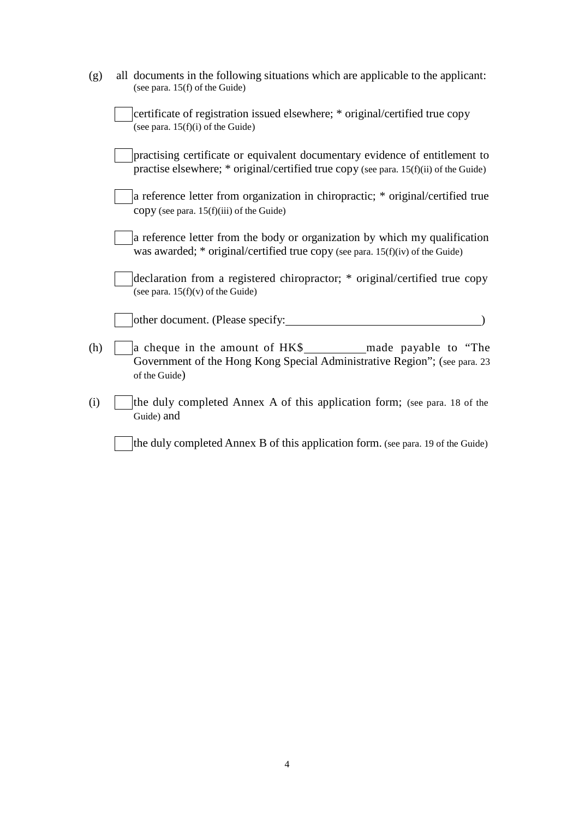| (g) | all documents in the following situations which are applicable to the applicant:<br>(see para. 15(f) of the Guide)                                                   |
|-----|----------------------------------------------------------------------------------------------------------------------------------------------------------------------|
|     | certificate of registration issued elsewhere; * original/certified true copy<br>(see para. $15(f)(i)$ of the Guide)                                                  |
|     | practising certificate or equivalent documentary evidence of entitlement to<br>practise elsewhere; * original/certified true copy (see para. 15(f)(ii) of the Guide) |
|     | a reference letter from organization in chiropractic; * original/certified true<br>copy (see para. 15(f)(iii) of the Guide)                                          |
|     | a reference letter from the body or organization by which my qualification<br>was awarded; $*$ original/certified true copy (see para. 15(f)(iv) of the Guide)       |
|     | declaration from a registered chiropractor; * original/certified true copy<br>(see para. $15(f)(v)$ of the Guide)                                                    |
|     | other document. (Please specify:                                                                                                                                     |
| (h) | Government of the Hong Kong Special Administrative Region"; (see para. 23<br>of the Guide)                                                                           |
| (i) | the duly completed Annex A of this application form; (see para. 18 of the<br>Guide) and                                                                              |
|     | the duly completed Annex B of this application form. (see para. 19 of the Guide)                                                                                     |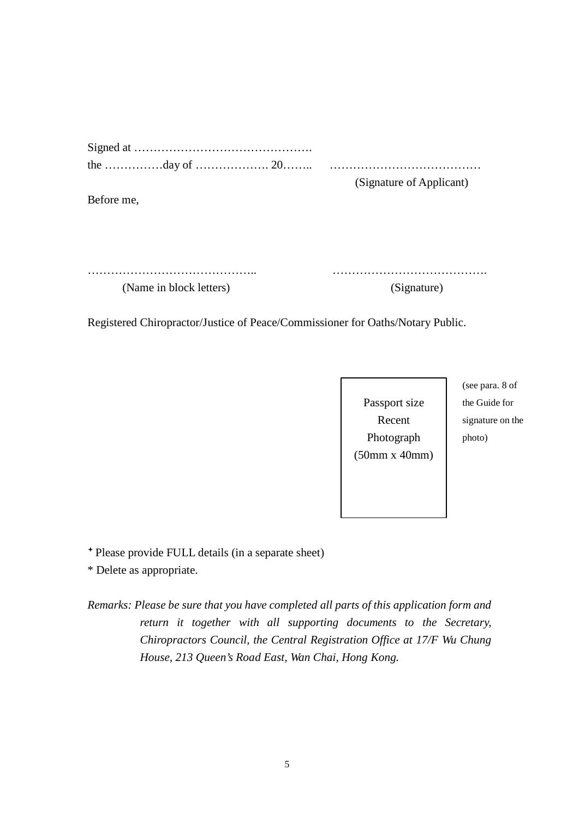(Signature of Applicant)

Before me,

…………………………………….. …………………………………. (Name in block letters) (Signature)

Registered Chiropractor/Justice of Peace/Commissioner for Oaths/Notary Public.

Passport size Recent Photograph (50mm x 40mm)

(see para. 8 of the Guide for signature on the photo)

Please provide FULL details (in a separate sheet)

\* Delete as appropriate.

*Remarks: Please be sure that you have completed all parts of this application form and return it together with all supporting documents to the Secretary, Chiropractors Council, the Central Registration Office at 17/F Wu Chung House, 213 Queen's Road East, Wan Chai, Hong Kong.*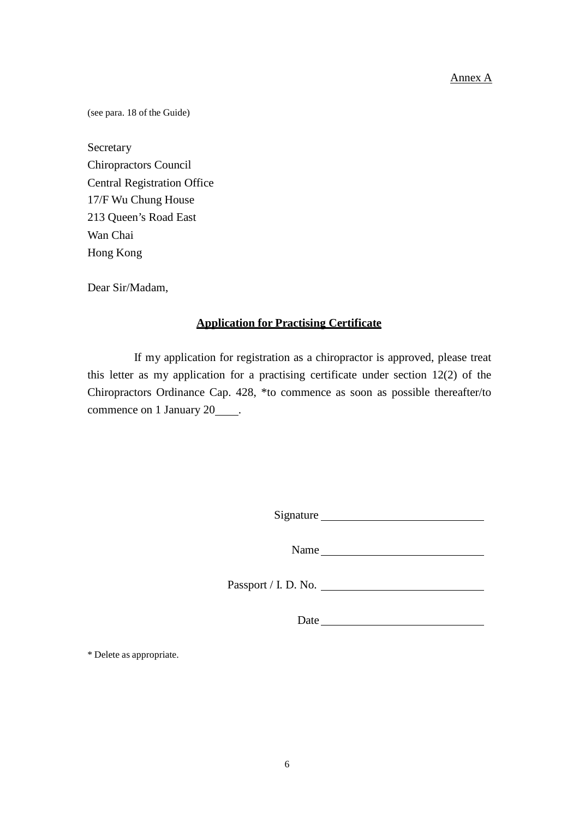## Annex A

(see para. 18 of the Guide)

Secretary Chiropractors Council Central Registration Office 17/F Wu Chung House 213 Queen's Road East Wan Chai Hong Kong

Dear Sir/Madam,

#### **Application for Practising Certificate**

If my application for registration as a chiropractor is approved, please treat this letter as my application for a practising certificate under section 12(2) of the Chiropractors Ordinance Cap. 428, \*to commence as soon as possible thereafter/to commence on 1 January 20 .

Signature

Name

Passport / I. D. No.

Date

\* Delete as appropriate.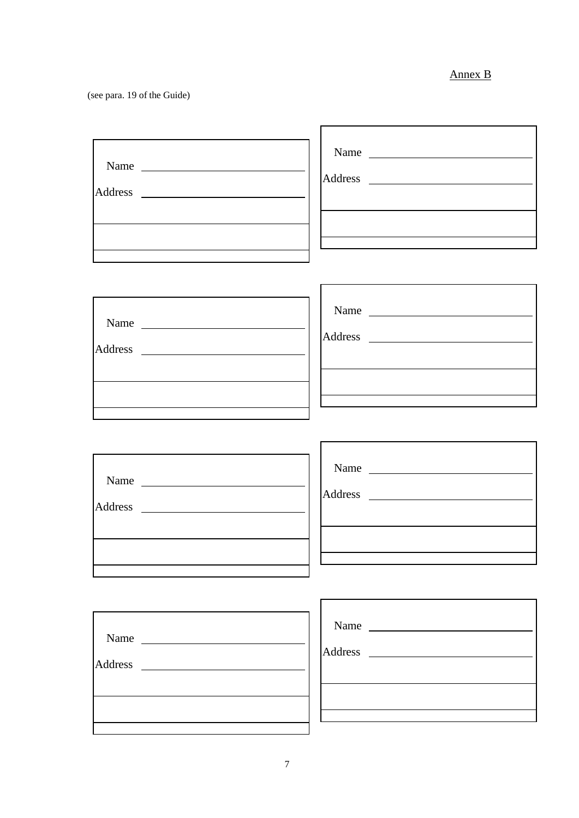# Annex B

٦

(see para. 19 of the Guide)

| Name<br><u> 1989 - Andrea Station Barbara, amerikan per</u><br>Address<br><u> 1989 - Johann Barbara, martxa al</u> | Name |
|--------------------------------------------------------------------------------------------------------------------|------|
|                                                                                                                    |      |

 $\mathbf{r}$ 

| Name           |  |
|----------------|--|
| <b>Address</b> |  |
|                |  |
|                |  |
|                |  |
|                |  |

| Name           |                             |
|----------------|-----------------------------|
|                |                             |
| <b>Address</b> | $\mathcal{L}^{\mathcal{L}}$ |
|                |                             |
|                |                             |
|                |                             |
|                |                             |
|                |                             |

| Name           |   |
|----------------|---|
| <b>Address</b> | A |
|                |   |

| Name           | <u>and a strong part of the strong part of the strong part of the strong part of the strong part of the strong par</u> |
|----------------|------------------------------------------------------------------------------------------------------------------------|
| <b>Address</b> |                                                                                                                        |
|                |                                                                                                                        |
|                |                                                                                                                        |
|                |                                                                                                                        |
|                |                                                                                                                        |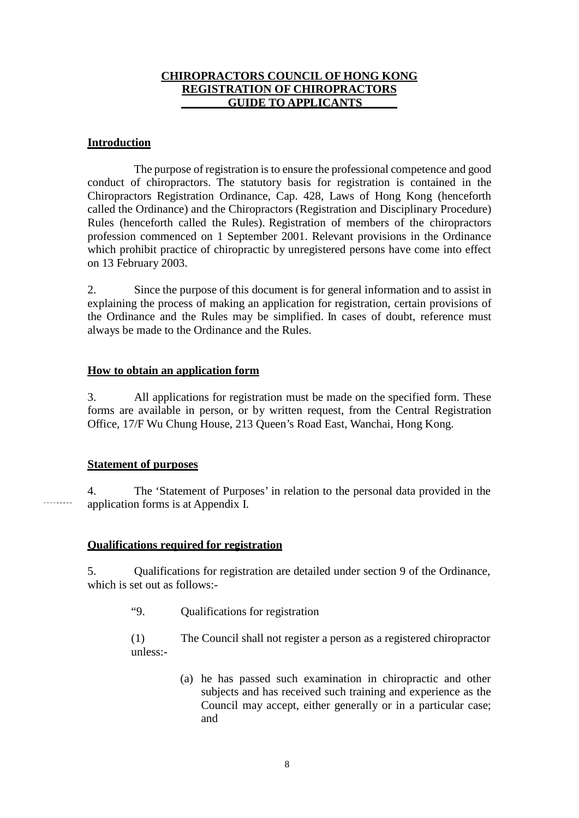# **CHIROPRACTORS COUNCIL OF HONG KONG REGISTRATION OF CHIROPRACTORS GUIDE TO APPLICANTS \_**

#### **Introduction**

The purpose of registration is to ensure the professional competence and good conduct of chiropractors. The statutory basis for registration is contained in the Chiropractors Registration Ordinance, Cap. 428, Laws of Hong Kong (henceforth called the Ordinance) and the Chiropractors (Registration and Disciplinary Procedure) Rules (henceforth called the Rules). Registration of members of the chiropractors profession commenced on 1 September 2001. Relevant provisions in the Ordinance which prohibit practice of chiropractic by unregistered persons have come into effect on 13 February 2003.

2. Since the purpose of this document is for general information and to assist in explaining the process of making an application for registration, certain provisions of the Ordinance and the Rules may be simplified. In cases of doubt, reference must always be made to the Ordinance and the Rules.

## **How to obtain an application form**

3. All applications for registration must be made on the specified form. These forms are available in person, or by written request, from the Central Registration Office, 17/F Wu Chung House, 213 Queen's Road East, Wanchai, Hong Kong.

#### **Statement of purposes**

4. The 'Statement of Purposes' in relation to the personal data provided in the application forms is at Appendix I.

# **Qualifications required for registration**

5. Qualifications for registration are detailed under section 9 of the Ordinance, which is set out as follows:-

"9. Qualifications for registration

(1) The Council shall not register a person as a registered chiropractor unless:-

> (a) he has passed such examination in chiropractic and other subjects and has received such training and experience as the Council may accept, either generally or in a particular case; and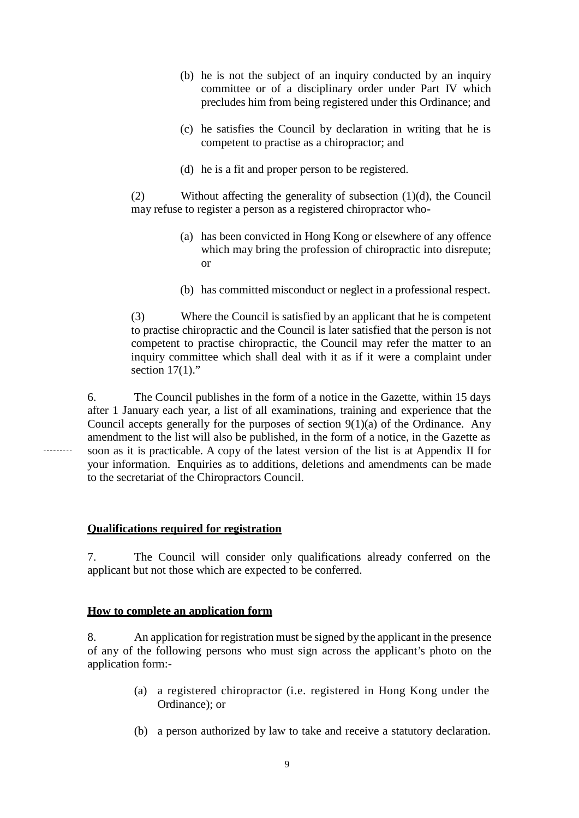- (b) he is not the subject of an inquiry conducted by an inquiry committee or of a disciplinary order under Part IV which precludes him from being registered under this Ordinance; and
- (c) he satisfies the Council by declaration in writing that he is competent to practise as a chiropractor; and
- (d) he is a fit and proper person to be registered.

(2) Without affecting the generality of subsection (1)(d), the Council may refuse to register a person as a registered chiropractor who-

- (a) has been convicted in Hong Kong or elsewhere of any offence which may bring the profession of chiropractic into disrepute; or
- (b) has committed misconduct or neglect in a professional respect.

(3) Where the Council is satisfied by an applicant that he is competent to practise chiropractic and the Council is later satisfied that the person is not competent to practise chiropractic, the Council may refer the matter to an inquiry committee which shall deal with it as if it were a complaint under section  $17(1)$ ."

6. The Council publishes in the form of a notice in the Gazette, within 15 days after 1 January each year, a list of all examinations, training and experience that the Council accepts generally for the purposes of section  $9(1)(a)$  of the Ordinance. Any amendment to the list will also be published, in the form of a notice, in the Gazette as soon as it is practicable. A copy of the latest version of the list is at Appendix II for your information. Enquiries as to additions, deletions and amendments can be made to the secretariat of the Chiropractors Council.

#### **Qualifications required for registration**

7. The Council will consider only qualifications already conferred on the applicant but not those which are expected to be conferred.

#### **How to complete an application form**

8. An application for registration must be signed by the applicant in the presence of any of the following persons who must sign across the applicant's photo on the application form:-

- (a) a registered chiropractor (i.e. registered in Hong Kong under the Ordinance); or
- (b) a person authorized by law to take and receive a statutory declaration.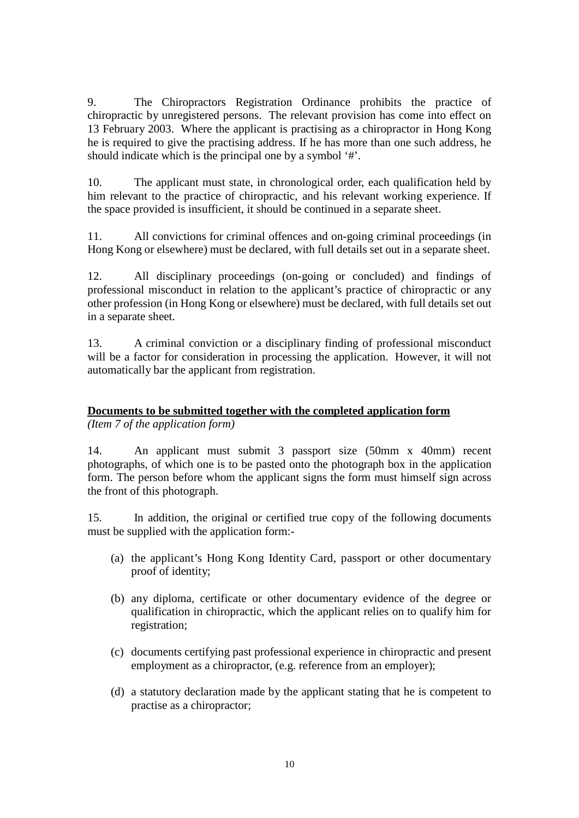9. The Chiropractors Registration Ordinance prohibits the practice of chiropractic by unregistered persons. The relevant provision has come into effect on 13 February 2003. Where the applicant is practising as a chiropractor in Hong Kong he is required to give the practising address. If he has more than one such address, he should indicate which is the principal one by a symbol '#'.

10. The applicant must state, in chronological order, each qualification held by him relevant to the practice of chiropractic, and his relevant working experience. If the space provided is insufficient, it should be continued in a separate sheet.

11. All convictions for criminal offences and on-going criminal proceedings (in Hong Kong or elsewhere) must be declared, with full details set out in a separate sheet.

12. All disciplinary proceedings (on-going or concluded) and findings of professional misconduct in relation to the applicant's practice of chiropractic or any other profession (in Hong Kong or elsewhere) must be declared, with full details set out in a separate sheet.

13. A criminal conviction or a disciplinary finding of professional misconduct will be a factor for consideration in processing the application. However, it will not automatically bar the applicant from registration.

# **Documents to be submitted together with the completed application form** *(Item 7 of the application form)*

14. An applicant must submit 3 passport size (50mm x 40mm) recent photographs, of which one is to be pasted onto the photograph box in the application form. The person before whom the applicant signs the form must himself sign across the front of this photograph.

15. In addition, the original or certified true copy of the following documents must be supplied with the application form:-

- (a) the applicant's Hong Kong Identity Card, passport or other documentary proof of identity;
- (b) any diploma, certificate or other documentary evidence of the degree or qualification in chiropractic, which the applicant relies on to qualify him for registration;
- (c) documents certifying past professional experience in chiropractic and present employment as a chiropractor, (e.g. reference from an employer);
- (d) a statutory declaration made by the applicant stating that he is competent to practise as a chiropractor;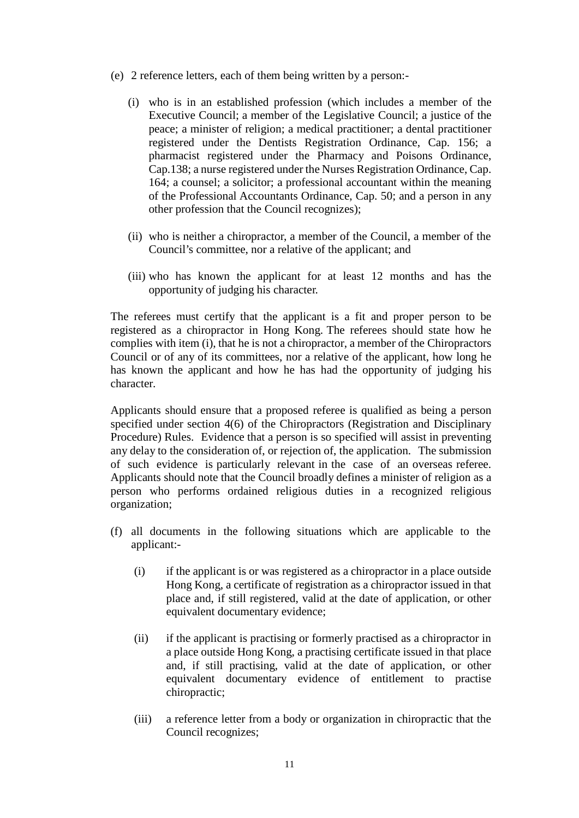- (e) 2 reference letters, each of them being written by a person:-
	- (i) who is in an established profession (which includes a member of the Executive Council; a member of the Legislative Council; a justice of the peace; a minister of religion; a medical practitioner; a dental practitioner registered under the Dentists Registration Ordinance, Cap. 156; a pharmacist registered under the Pharmacy and Poisons Ordinance, Cap.138; a nurse registered under the Nurses Registration Ordinance, Cap. 164; a counsel; a solicitor; a professional accountant within the meaning of the Professional Accountants Ordinance, Cap. 50; and a person in any other profession that the Council recognizes);
	- (ii) who is neither a chiropractor, a member of the Council, a member of the Council's committee, nor a relative of the applicant; and
	- (iii) who has known the applicant for at least 12 months and has the opportunity of judging his character.

The referees must certify that the applicant is a fit and proper person to be registered as a chiropractor in Hong Kong. The referees should state how he complies with item (i), that he is not a chiropractor, a member of the Chiropractors Council or of any of its committees, nor a relative of the applicant, how long he has known the applicant and how he has had the opportunity of judging his character.

Applicants should ensure that a proposed referee is qualified as being a person specified under section 4(6) of the Chiropractors (Registration and Disciplinary Procedure) Rules. Evidence that a person is so specified will assist in preventing any delay to the consideration of, or rejection of, the application. The submission of such evidence is particularly relevant in the case of an overseas referee. Applicants should note that the Council broadly defines a minister of religion as a person who performs ordained religious duties in a recognized religious organization;

- (f) all documents in the following situations which are applicable to the applicant:-
	- (i) if the applicant is or was registered as a chiropractor in a place outside Hong Kong, a certificate of registration as a chiropractor issued in that place and, if still registered, valid at the date of application, or other equivalent documentary evidence;
	- (ii) if the applicant is practising or formerly practised as a chiropractor in a place outside Hong Kong, a practising certificate issued in that place and, if still practising, valid at the date of application, or other equivalent documentary evidence of entitlement to practise chiropractic;
	- (iii) a reference letter from a body or organization in chiropractic that the Council recognizes;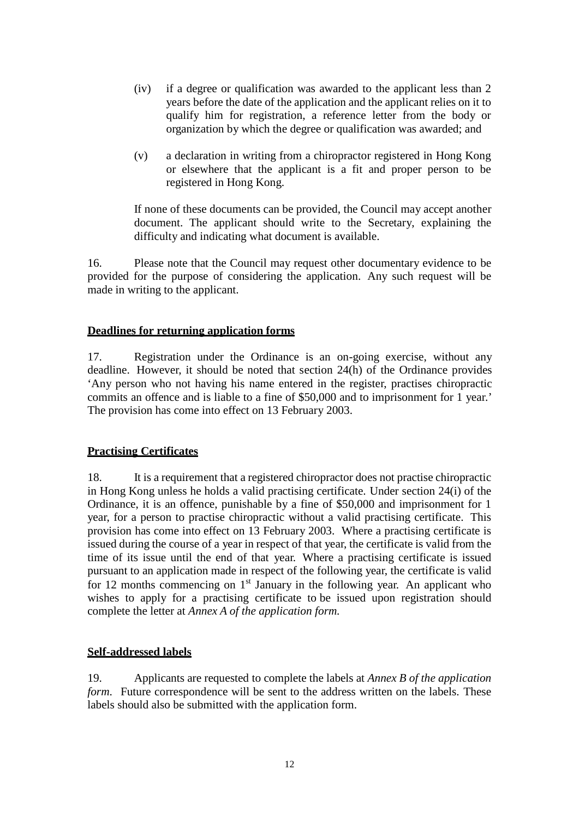- (iv) if a degree or qualification was awarded to the applicant less than 2 years before the date of the application and the applicant relies on it to qualify him for registration, a reference letter from the body or organization by which the degree or qualification was awarded; and
- (v) a declaration in writing from a chiropractor registered in Hong Kong or elsewhere that the applicant is a fit and proper person to be registered in Hong Kong.

If none of these documents can be provided, the Council may accept another document. The applicant should write to the Secretary, explaining the difficulty and indicating what document is available.

16. Please note that the Council may request other documentary evidence to be provided for the purpose of considering the application. Any such request will be made in writing to the applicant.

## **Deadlines for returning application forms**

17. Registration under the Ordinance is an on-going exercise, without any deadline. However, it should be noted that section 24(h) of the Ordinance provides 'Any person who not having his name entered in the register, practises chiropractic commits an offence and is liable to a fine of \$50,000 and to imprisonment for 1 year.' The provision has come into effect on 13 February 2003.

#### **Practising Certificates**

18. It is a requirement that a registered chiropractor does not practise chiropractic in Hong Kong unless he holds a valid practising certificate. Under section 24(i) of the Ordinance, it is an offence, punishable by a fine of \$50,000 and imprisonment for 1 year, for a person to practise chiropractic without a valid practising certificate. This provision has come into effect on 13 February 2003. Where a practising certificate is issued during the course of a year in respect of that year, the certificate is valid from the time of its issue until the end of that year. Where a practising certificate is issued pursuant to an application made in respect of the following year, the certificate is valid for 12 months commencing on  $1<sup>st</sup>$  January in the following year. An applicant who wishes to apply for a practising certificate to be issued upon registration should complete the letter at *Annex A of the application form.*

# **Self-addressed labels**

19. Applicants are requested to complete the labels at *Annex B of the application form.* Future correspondence will be sent to the address written on the labels. These labels should also be submitted with the application form.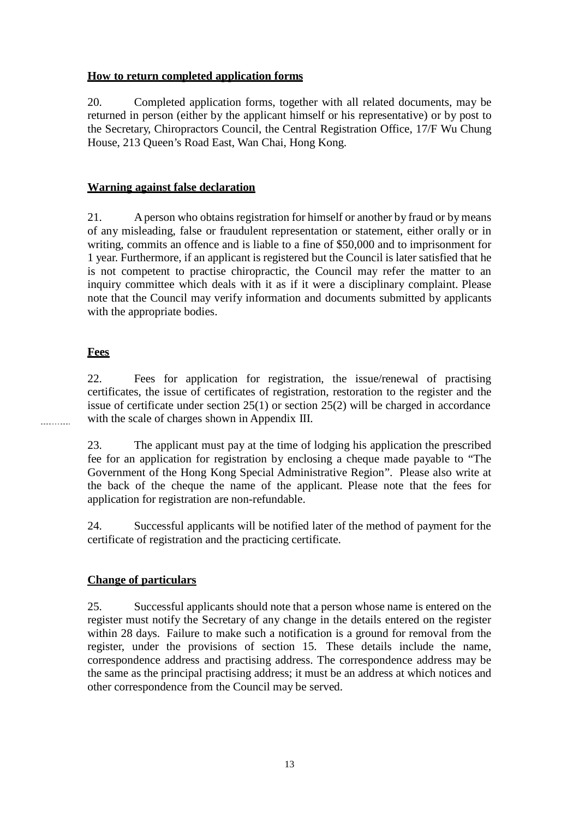# **How to return completed application forms**

20. Completed application forms, together with all related documents, may be returned in person (either by the applicant himself or his representative) or by post to the Secretary, Chiropractors Council, the Central Registration Office, 17/F Wu Chung House, 213 Queen's Road East, Wan Chai, Hong Kong.

# **Warning against false declaration**

21. Aperson who obtains registration for himself or another by fraud or by means of any misleading, false or fraudulent representation or statement, either orally or in writing, commits an offence and is liable to a fine of \$50,000 and to imprisonment for 1 year. Furthermore, if an applicant is registered but the Council is later satisfied that he is not competent to practise chiropractic, the Council may refer the matter to an inquiry committee which deals with it as if it were a disciplinary complaint. Please note that the Council may verify information and documents submitted by applicants with the appropriate bodies.

## **Fees**

22. Fees for application for registration, the issue/renewal of practising certificates, the issue of certificates of registration, restoration to the register and the issue of certificate under section 25(1) or section 25(2) will be charged in accordance with the scale of charges shown in Appendix III.

23. The applicant must pay at the time of lodging his application the prescribed fee for an application for registration by enclosing a cheque made payable to "The Government of the Hong Kong Special Administrative Region". Please also write at the back of the cheque the name of the applicant. Please note that the fees for application for registration are non-refundable.

24. Successful applicants will be notified later of the method of payment for the certificate of registration and the practicing certificate.

# **Change of particulars**

25. Successful applicants should note that a person whose name is entered on the register must notify the Secretary of any change in the details entered on the register within 28 days. Failure to make such a notification is a ground for removal from the register, under the provisions of section 15. These details include the name, correspondence address and practising address. The correspondence address may be the same as the principal practising address; it must be an address at which notices and other correspondence from the Council may be served.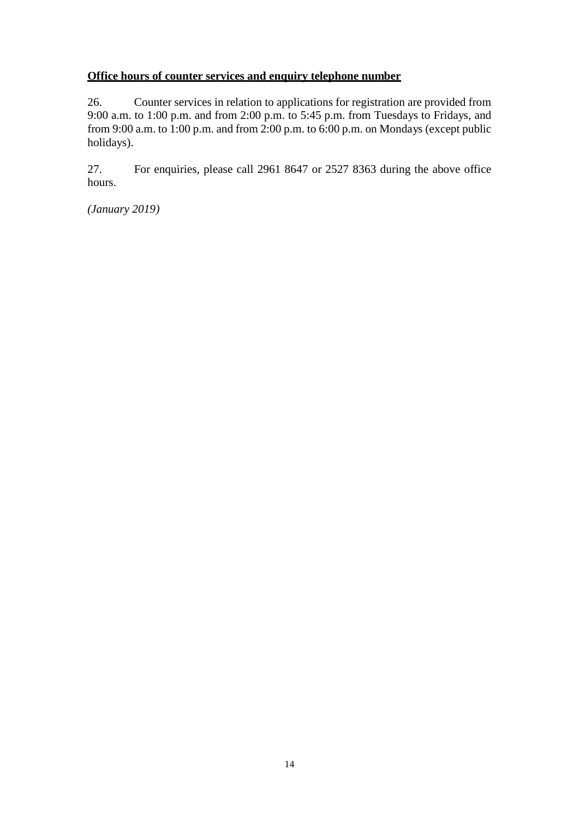# **Office hours of counter services and enquiry telephone number**

26. Counter services in relation to applications for registration are provided from 9:00 a.m. to 1:00 p.m. and from 2:00 p.m. to 5:45 p.m. from Tuesdays to Fridays, and from 9:00 a.m. to 1:00 p.m. and from 2:00 p.m. to 6:00 p.m. on Mondays (except public holidays).

27. For enquiries, please call 2961 8647 or 2527 8363 during the above office hours.

*(January 2019)*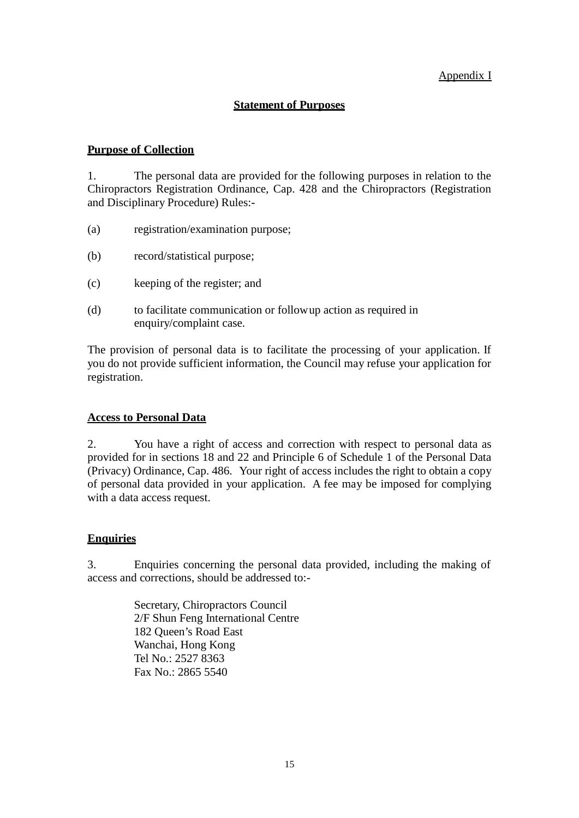# Appendix I

## **Statement of Purposes**

# **Purpose of Collection**

1. The personal data are provided for the following purposes in relation to the Chiropractors Registration Ordinance, Cap. 428 and the Chiropractors (Registration and Disciplinary Procedure) Rules:-

- (a) registration/examination purpose;
- (b) record/statistical purpose;
- (c) keeping of the register; and
- (d) to facilitate communication or followup action as required in enquiry/complaint case.

The provision of personal data is to facilitate the processing of your application. If you do not provide sufficient information, the Council may refuse your application for registration.

#### **Access to Personal Data**

2. You have a right of access and correction with respect to personal data as provided for in sections 18 and 22 and Principle 6 of Schedule 1 of the Personal Data (Privacy) Ordinance, Cap. 486. Your right of access includes the right to obtain a copy of personal data provided in your application. A fee may be imposed for complying with a data access request.

#### **Enquiries**

3. Enquiries concerning the personal data provided, including the making of access and corrections, should be addressed to:-

> Secretary, Chiropractors Council 2/F Shun Feng International Centre 182 Queen's Road East Wanchai, Hong Kong Tel No.: 2527 8363 Fax No.: 2865 5540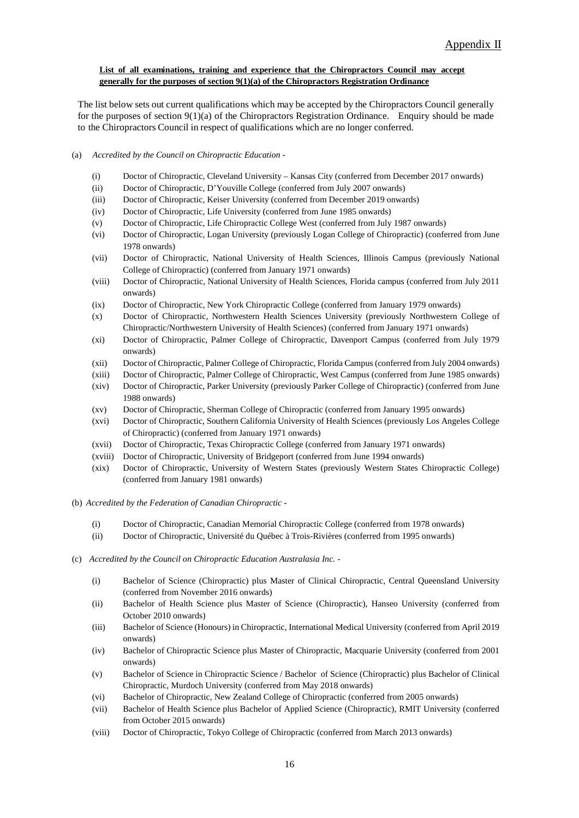#### **List of all examinations, training and experience that the Chiropractors Council may accept generally for the purposes of section 9(1)(a) of the Chiropractors Registration Ordinance**

The list below sets out current qualifications which may be accepted by the Chiropractors Council generally for the purposes of section 9(1)(a) of the Chiropractors Registration Ordinance. Enquiry should be made to the Chiropractors Council in respect of qualifications which are no longer conferred.

#### (a) *Accredited by the Council on Chiropractic Education -*

- (i) Doctor of Chiropractic, Cleveland University Kansas City (conferred from December 2017 onwards)
- (ii) Doctor of Chiropractic, D'Youville College (conferred from July 2007 onwards)
- (iii) Doctor of Chiropractic, Keiser University (conferred from December 2019 onwards)
- (iv) Doctor of Chiropractic, Life University (conferred from June 1985 onwards)
- (v) Doctor of Chiropractic, Life Chiropractic College West (conferred from July 1987 onwards)
- (vi) Doctor of Chiropractic, Logan University (previously Logan College of Chiropractic) (conferred from June 1978 onwards)
- (vii) Doctor of Chiropractic, National University of Health Sciences, Illinois Campus (previously National College of Chiropractic) (conferred from January 1971 onwards)
- (viii) Doctor of Chiropractic, National University of Health Sciences, Florida campus (conferred from July 2011 onwards)
- (ix) Doctor of Chiropractic, New York Chiropractic College (conferred from January 1979 onwards)
- (x) Doctor of Chiropractic, Northwestern Health Sciences University (previously Northwestern College of Chiropractic/Northwestern University of Health Sciences) (conferred from January 1971 onwards)
- (xi) Doctor of Chiropractic, Palmer College of Chiropractic, Davenport Campus (conferred from July 1979 onwards)
- (xii) Doctor of Chiropractic, Palmer College of Chiropractic, Florida Campus (conferred from July 2004 onwards)
- (xiii) Doctor of Chiropractic, Palmer College of Chiropractic, West Campus (conferred from June 1985 onwards)
- (xiv) Doctor of Chiropractic, Parker University (previously Parker College of Chiropractic) (conferred from June 1988 onwards)
- (xv) Doctor of Chiropractic, Sherman College of Chiropractic (conferred from January 1995 onwards)
- (xvi) Doctor of Chiropractic, Southern California University of Health Sciences (previously Los Angeles College of Chiropractic) (conferred from January 1971 onwards)
- (xvii) Doctor of Chiropractic, Texas Chiropractic College (conferred from January 1971 onwards)
- (xviii) Doctor of Chiropractic, University of Bridgeport (conferred from June 1994 onwards)
- (xix) Doctor of Chiropractic, University of Western States (previously Western States Chiropractic College) (conferred from January 1981 onwards)
- (b) *Accredited by the Federation of Canadian Chiropractic -*
	- (i) Doctor of Chiropractic, Canadian Memorial Chiropractic College (conferred from 1978 onwards)
	- (ii) Doctor of Chiropractic, Université du Québec à Trois-Rivières (conferred from 1995 onwards)
- (c) *Accredited by the Council on Chiropractic Education Australasia Inc. -*
	- (i) Bachelor of Science (Chiropractic) plus Master of Clinical Chiropractic, Central Queensland University (conferred from November 2016 onwards)
	- (ii) Bachelor of Health Science plus Master of Science (Chiropractic), Hanseo University (conferred from October 2010 onwards)
	- (iii) Bachelor of Science (Honours) in Chiropractic, International Medical University (conferred from April 2019 onwards)
	- (iv) Bachelor of Chiropractic Science plus Master of Chiropractic, Macquarie University (conferred from 2001 onwards)
	- (v) Bachelor of Science in Chiropractic Science / Bachelor of Science (Chiropractic) plus Bachelor of Clinical Chiropractic, Murdoch University (conferred from May 2018 onwards)
	- (vi) Bachelor of Chiropractic, New Zealand College of Chiropractic (conferred from 2005 onwards)
	- (vii) Bachelor of Health Science plus Bachelor of Applied Science (Chiropractic), RMIT University (conferred from October 2015 onwards)
	- (viii) Doctor of Chiropractic, Tokyo College of Chiropractic (conferred from March 2013 onwards)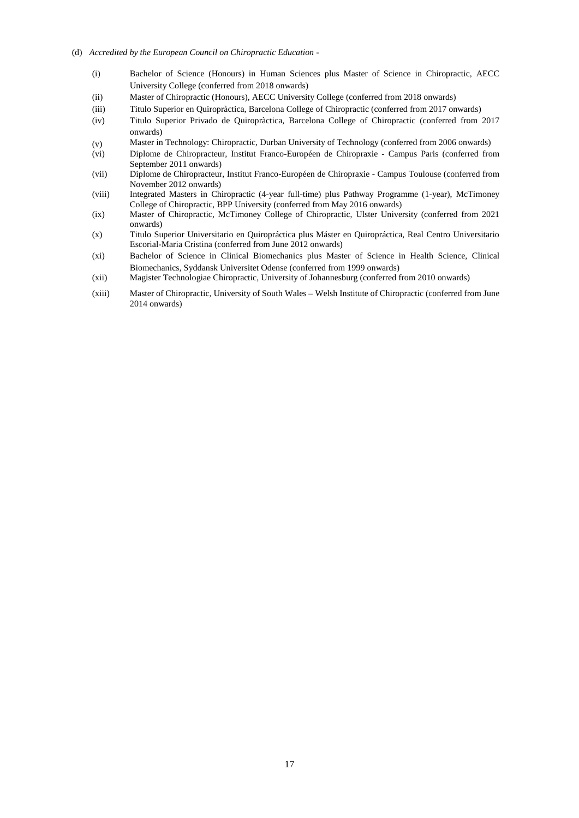- (d) *Accredited by the European Council on Chiropractic Education -*
	- (i) Bachelor of Science (Honours) in Human Sciences plus Master of Science in Chiropractic, AECC University College (conferred from 2018 onwards)
	- (ii) Master of Chiropractic (Honours), AECC University College (conferred from 2018 onwards)
	- (iii) Titulo Superior en Quiropràctica, Barcelona College of Chiropractic (conferred from 2017 onwards)
	- (iv) Titulo Superior Privado de Quiropràctica, Barcelona College of Chiropractic (conferred from 2017 onwards)
	- (v) Master in Technology: Chiropractic, Durban University of Technology (conferred from 2006 onwards)
	- (vi) Diplome de Chiropracteur, Institut Franco-Européen de Chiropraxie Campus Paris (conferred from September 2011 onwards)
	- (vii) Diplome de Chiropracteur, Institut Franco-Européen de Chiropraxie Campus Toulouse (conferred from November 2012 onwards)
	- (viii) Integrated Masters in Chiropractic (4-year full-time) plus Pathway Programme (1-year), McTimoney College of Chiropractic, BPP University (conferred from May 2016 onwards)
	- (ix) Master of Chiropractic, McTimoney College of Chiropractic, Ulster University (conferred from 2021 onwards)
	- (x) Titulo Superior Universitario en Quiropráctica plus Máster en Quiropráctica, Real Centro Universitario Escorial-Maria Cristina (conferred from June 2012 onwards)
	- (xi) Bachelor of Science in Clinical Biomechanics plus Master of Science in Health Science, Clinical Biomechanics, Syddansk Universitet Odense (conferred from 1999 onwards)
	- (xii) Magister Technologiae Chiropractic, University of Johannesburg (conferred from 2010 onwards)
	- (xiii) Master of Chiropractic, University of South Wales Welsh Institute of Chiropractic (conferred from June 2014 onwards)